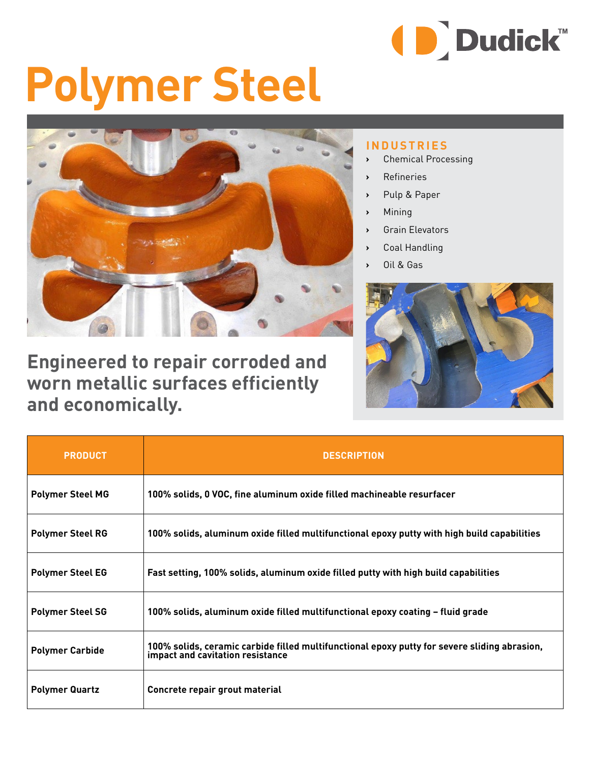

## **Polymer Steel**



**Engineered to repair corroded and worn metallic surfaces efficiently and economically.**

## **INDUSTRIES**

- **›** Chemical Processing
- **›** Refineries
- **›** Pulp & Paper
- **›** Mining
- **›** Grain Elevators
- **›** Coal Handling
- **›** Oil & Gas



| <b>PRODUCT</b>          | <b>DESCRIPTION</b>                                                                                                               |  |  |  |  |
|-------------------------|----------------------------------------------------------------------------------------------------------------------------------|--|--|--|--|
| <b>Polymer Steel MG</b> | 100% solids, 0 VOC, fine aluminum oxide filled machineable resurfacer                                                            |  |  |  |  |
| <b>Polymer Steel RG</b> | 100% solids, aluminum oxide filled multifunctional epoxy putty with high build capabilities                                      |  |  |  |  |
| <b>Polymer Steel EG</b> | Fast setting, 100% solids, aluminum oxide filled putty with high build capabilities                                              |  |  |  |  |
| <b>Polymer Steel SG</b> | 100% solids, aluminum oxide filled multifunctional epoxy coating – fluid grade                                                   |  |  |  |  |
| <b>Polymer Carbide</b>  | 100% solids, ceramic carbide filled multifunctional epoxy putty for severe sliding abrasion,<br>impact and cavitation resistance |  |  |  |  |
| <b>Polymer Quartz</b>   | Concrete repair grout material                                                                                                   |  |  |  |  |